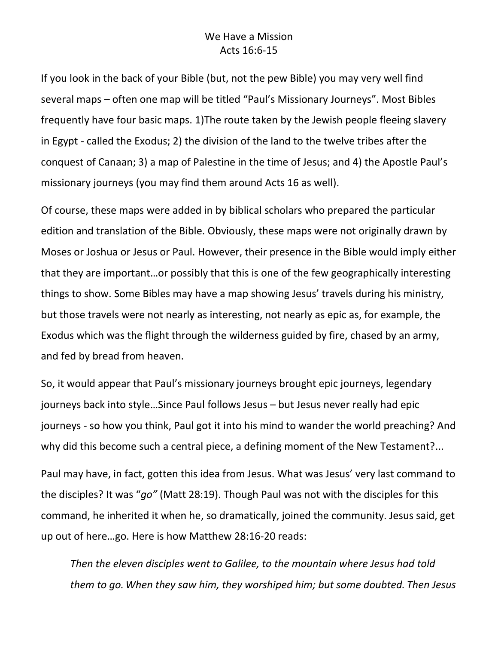## We Have a Mission Acts 16:6-15

If you look in the back of your Bible (but, not the pew Bible) you may very well find several maps – often one map will be titled "Paul's Missionary Journeys". Most Bibles frequently have four basic maps. 1)The route taken by the Jewish people fleeing slavery in Egypt - called the Exodus; 2) the division of the land to the twelve tribes after the conquest of Canaan; 3) a map of Palestine in the time of Jesus; and 4) the Apostle Paul's missionary journeys (you may find them around Acts 16 as well).

Of course, these maps were added in by biblical scholars who prepared the particular edition and translation of the Bible. Obviously, these maps were not originally drawn by Moses or Joshua or Jesus or Paul. However, their presence in the Bible would imply either that they are important…or possibly that this is one of the few geographically interesting things to show. Some Bibles may have a map showing Jesus' travels during his ministry, but those travels were not nearly as interesting, not nearly as epic as, for example, the Exodus which was the flight through the wilderness guided by fire, chased by an army, and fed by bread from heaven.

So, it would appear that Paul's missionary journeys brought epic journeys, legendary journeys back into style…Since Paul follows Jesus – but Jesus never really had epic journeys - so how you think, Paul got it into his mind to wander the world preaching? And why did this become such a central piece, a defining moment of the New Testament?...

Paul may have, in fact, gotten this idea from Jesus. What was Jesus' very last command to the disciples? It was "*go"* (Matt 28:19). Though Paul was not with the disciples for this command, he inherited it when he, so dramatically, joined the community. Jesus said, get up out of here…go. Here is how Matthew 28:16-20 reads:

*Then the eleven disciples went to Galilee, to the mountain where Jesus had told them to go.When they saw him, they worshiped him; but some doubted. Then Jesus*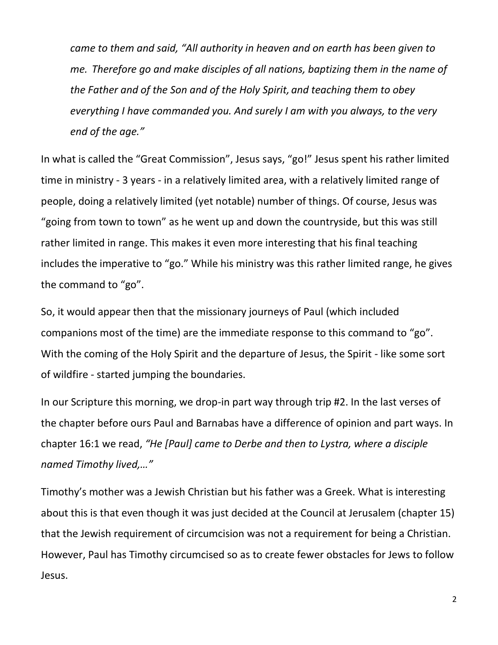*came to them and said, "All authority in heaven and on earth has been given to me. Therefore go and make disciples of all nations, baptizing them in the name of the Father and of the Son and of the Holy Spirit, and teaching them to obey everything I have commanded you. And surely I am with you always, to the very end of the age."*

In what is called the "Great Commission", Jesus says, "go!" Jesus spent his rather limited time in ministry - 3 years - in a relatively limited area, with a relatively limited range of people, doing a relatively limited (yet notable) number of things. Of course, Jesus was "going from town to town" as he went up and down the countryside, but this was still rather limited in range. This makes it even more interesting that his final teaching includes the imperative to "go." While his ministry was this rather limited range, he gives the command to "go".

So, it would appear then that the missionary journeys of Paul (which included companions most of the time) are the immediate response to this command to "go". With the coming of the Holy Spirit and the departure of Jesus, the Spirit - like some sort of wildfire - started jumping the boundaries.

In our Scripture this morning, we drop-in part way through trip #2. In the last verses of the chapter before ours Paul and Barnabas have a difference of opinion and part ways. In chapter 16:1 we read, *"He [Paul] came to Derbe and then to Lystra, where a disciple named Timothy lived,…"*

Timothy's mother was a Jewish Christian but his father was a Greek. What is interesting about this is that even though it was just decided at the Council at Jerusalem (chapter 15) that the Jewish requirement of circumcision was not a requirement for being a Christian. However, Paul has Timothy circumcised so as to create fewer obstacles for Jews to follow Jesus.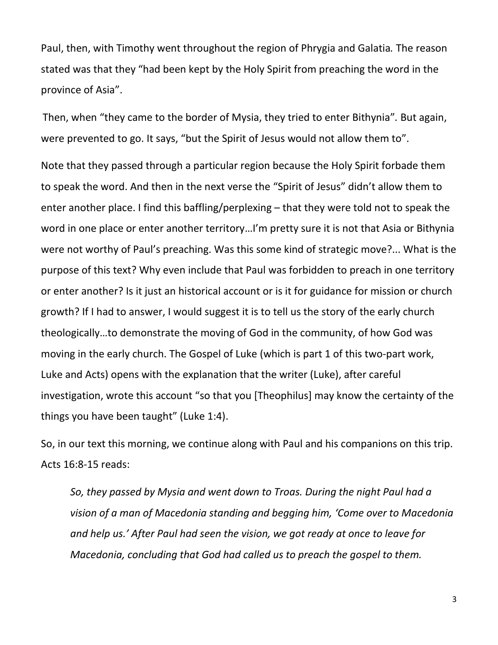Paul, then, with Timothy went throughout the region of Phrygia and Galatia*.* The reason stated was that they "had been kept by the Holy Spirit from preaching the word in the province of Asia".

Then, when "they came to the border of Mysia, they tried to enter Bithynia"*.* But again, were prevented to go. It says, "but the Spirit of Jesus would not allow them to".

Note that they passed through a particular region because the Holy Spirit forbade them to speak the word. And then in the next verse the "Spirit of Jesus" didn't allow them to enter another place. I find this baffling/perplexing – that they were told not to speak the word in one place or enter another territory…I'm pretty sure it is not that Asia or Bithynia were not worthy of Paul's preaching. Was this some kind of strategic move?... What is the purpose of this text? Why even include that Paul was forbidden to preach in one territory or enter another? Is it just an historical account or is it for guidance for mission or church growth? If I had to answer, I would suggest it is to tell us the story of the early church theologically…to demonstrate the moving of God in the community, of how God was moving in the early church. The Gospel of Luke (which is part 1 of this two-part work, Luke and Acts) opens with the explanation that the writer (Luke), after careful investigation, wrote this account "so that you [Theophilus] may know the certainty of the things you have been taught" (Luke 1:4).

So, in our text this morning, we continue along with Paul and his companions on this trip. Acts 16:8-15 reads:

*So, they passed by Mysia and went down to Troas. During the night Paul had a vision of a man of Macedonia standing and begging him, 'Come over to Macedonia and help us.' After Paul had seen the vision, we got ready at once to leave for Macedonia, concluding that God had called us to preach the gospel to them.*

3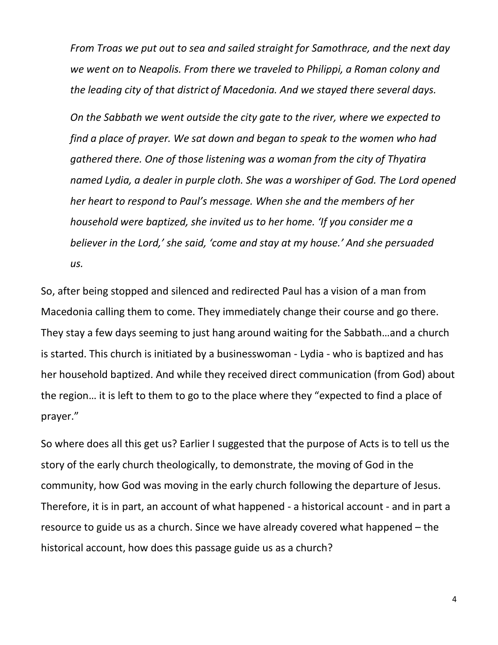*From Troas we put out to sea and sailed straight for Samothrace, and the next day we went on to Neapolis. From there we traveled to Philippi, a Roman colony and the leading city of that district of Macedonia. And we stayed there several days.*

*On the Sabbath we went outside the city gate to the river, where we expected to find a place of prayer. We sat down and began to speak to the women who had gathered there. One of those listening was a woman from the city of Thyatira named Lydia, a dealer in purple cloth. She was a worshiper of God. The Lord opened her heart to respond to Paul's message. When she and the members of her household were baptized, she invited us to her home. 'If you consider me a believer in the Lord,' she said, 'come and stay at my house.' And she persuaded us.*

So, after being stopped and silenced and redirected Paul has a vision of a man from Macedonia calling them to come. They immediately change their course and go there. They stay a few days seeming to just hang around waiting for the Sabbath…and a church is started. This church is initiated by a businesswoman - Lydia - who is baptized and has her household baptized. And while they received direct communication (from God) about the region… it is left to them to go to the place where they "expected to find a place of prayer."

So where does all this get us? Earlier I suggested that the purpose of Acts is to tell us the story of the early church theologically, to demonstrate, the moving of God in the community, how God was moving in the early church following the departure of Jesus. Therefore, it is in part, an account of what happened - a historical account - and in part a resource to guide us as a church. Since we have already covered what happened – the historical account, how does this passage guide us as a church?

4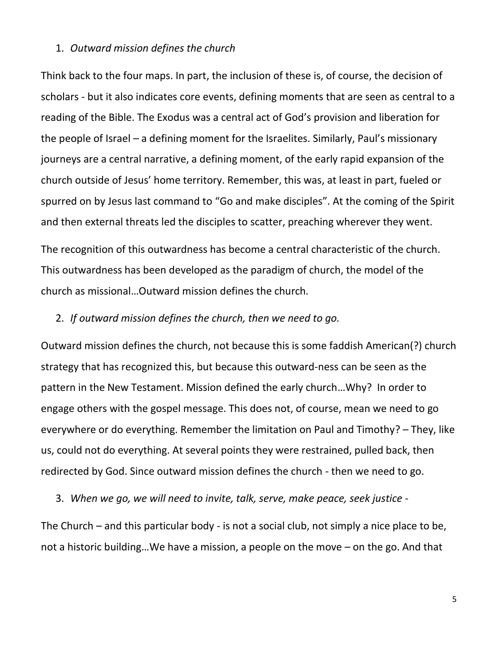## 1. *Outward mission defines the church*

Think back to the four maps. In part, the inclusion of these is, of course, the decision of scholars - but it also indicates core events, defining moments that are seen as central to a reading of the Bible. The Exodus was a central act of God's provision and liberation for the people of Israel – a defining moment for the Israelites. Similarly, Paul's missionary journeys are a central narrative, a defining moment, of the early rapid expansion of the church outside of Jesus' home territory. Remember, this was, at least in part, fueled or spurred on by Jesus last command to "Go and make disciples". At the coming of the Spirit and then external threats led the disciples to scatter, preaching wherever they went.

The recognition of this outwardness has become a central characteristic of the church. This outwardness has been developed as the paradigm of church, the model of the church as missional…Outward mission defines the church*.*

## 2. *If outward mission defines the church, then we need to go.*

Outward mission defines the church, not because this is some faddish American(?) church strategy that has recognized this, but because this outward-ness can be seen as the pattern in the New Testament. Mission defined the early church…Why? In order to engage others with the gospel message. This does not, of course, mean we need to go everywhere or do everything. Remember the limitation on Paul and Timothy? – They, like us, could not do everything. At several points they were restrained, pulled back, then redirected by God. Since outward mission defines the church - then we need to go.

3. *When we go, we will need to invite, talk, serve, make peace, seek justice* -

The Church – and this particular body - is not a social club, not simply a nice place to be, not a historic building…We have a mission, a people on the move – on the go. And that

5